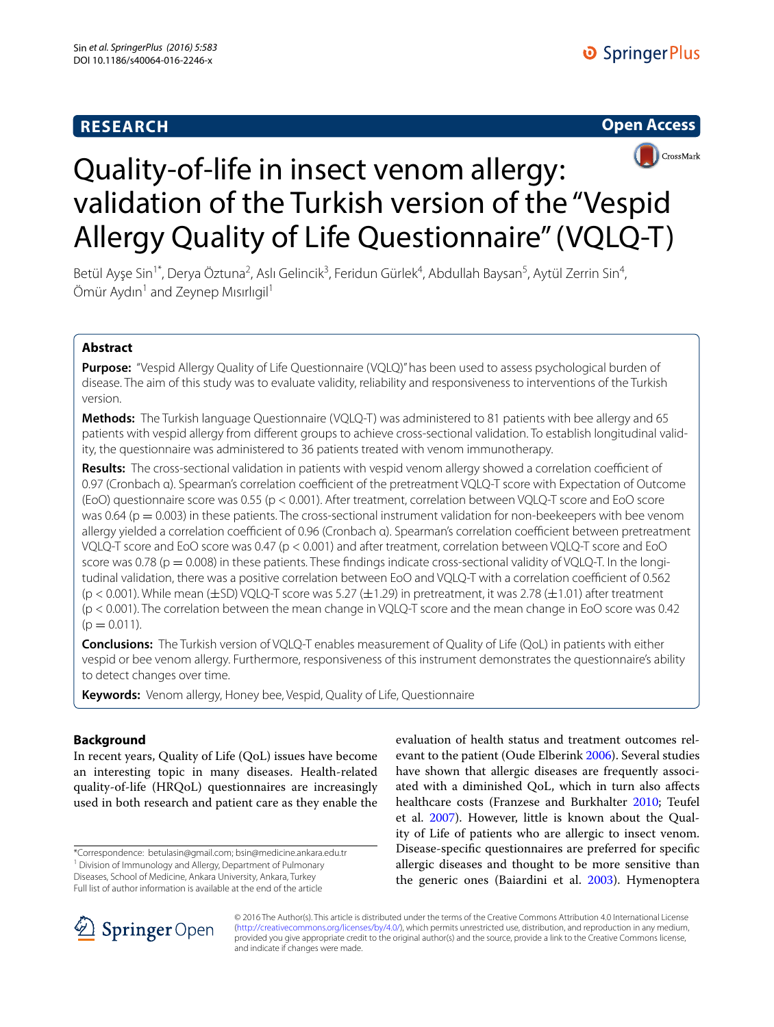# **RESEARCH**





# Quality-of-life in insect venom allergy: validation of the Turkish version of the "Vespid Allergy Quality of Life Questionnaire" (VQLQ-T)

Betül Ayşe Sin<sup>1\*</sup>, Derya Öztuna<sup>2</sup>, Aslı Gelincik<sup>3</sup>, Feridun Gürlek<sup>4</sup>, Abdullah Baysan<sup>5</sup>, Aytül Zerrin Sin<sup>4</sup>, Ömür Aydın<sup>1</sup> and Zeynep Mısırlıgil<sup>1</sup>

# **Abstract**

**Purpose:** "Vespid Allergy Quality of Life Questionnaire (VQLQ)" has been used to assess psychological burden of disease. The aim of this study was to evaluate validity, reliability and responsiveness to interventions of the Turkish version.

**Methods:** The Turkish language Questionnaire (VQLQ-T) was administered to 81 patients with bee allergy and 65 patients with vespid allergy from different groups to achieve cross-sectional validation. To establish longitudinal validity, the questionnaire was administered to 36 patients treated with venom immunotherapy.

**Results:** The cross-sectional validation in patients with vespid venom allergy showed a correlation coefficient of 0.97 (Cronbach α). Spearman's correlation coefficient of the pretreatment VQLQ-T score with Expectation of Outcome (EoO) questionnaire score was 0.55 (p < 0.001). After treatment, correlation between VQLQ-T score and EoO score was 0.64 ( $p = 0.003$ ) in these patients. The cross-sectional instrument validation for non-beekeepers with bee venom allergy yielded a correlation coefficient of 0.96 (Cronbach α). Spearman's correlation coefficient between pretreatment VQLQ-T score and EoO score was 0.47 (p < 0.001) and after treatment, correlation between VQLQ-T score and EoO score was 0.78 ( $p = 0.008$ ) in these patients. These findings indicate cross-sectional validity of VQLQ-T. In the longitudinal validation, there was a positive correlation between EoO and VQLQ-T with a correlation coefficient of 0.562  $(p < 0.001)$ . While mean  $(\pm SD)$  VQLQ-T score was 5.27  $(\pm 1.29)$  in pretreatment, it was 2.78  $(\pm 1.01)$  after treatment (p < 0.001). The correlation between the mean change in VQLQ-T score and the mean change in EoO score was 0.42  $(p = 0.011)$ .

**Conclusions:** The Turkish version of VQLQ-T enables measurement of Quality of Life (QoL) in patients with either vespid or bee venom allergy. Furthermore, responsiveness of this instrument demonstrates the questionnaire's ability to detect changes over time.

**Keywords:** Venom allergy, Honey bee, Vespid, Quality of Life, Questionnaire

## **Background**

In recent years, Quality of Life (QoL) issues have become an interesting topic in many diseases. Health-related quality-of-life (HRQoL) questionnaires are increasingly used in both research and patient care as they enable the

\*Correspondence: betulasin@gmail.com; bsin@medicine.ankara.edu.tr <sup>1</sup> Division of Immunology and Allergy, Department of Pulmonary Diseases, School of Medicine, Ankara University, Ankara, Turkey Full list of author information is available at the end of the article

evaluation of health status and treatment outcomes relevant to the patient (Oude Elberink [2006\)](#page-9-0). Several studies have shown that allergic diseases are frequently associated with a diminished QoL, which in turn also affects healthcare costs (Franzese and Burkhalter [2010;](#page-9-1) Teufel et al. [2007](#page-9-2)). However, little is known about the Quality of Life of patients who are allergic to insect venom. Disease-specific questionnaires are preferred for specific allergic diseases and thought to be more sensitive than the generic ones (Baiardini et al. [2003](#page-8-0)). Hymenoptera



© 2016 The Author(s). This article is distributed under the terms of the Creative Commons Attribution 4.0 International License [\(http://creativecommons.org/licenses/by/4.0/\)](http://creativecommons.org/licenses/by/4.0/), which permits unrestricted use, distribution, and reproduction in any medium, provided you give appropriate credit to the original author(s) and the source, provide a link to the Creative Commons license, and indicate if changes were made.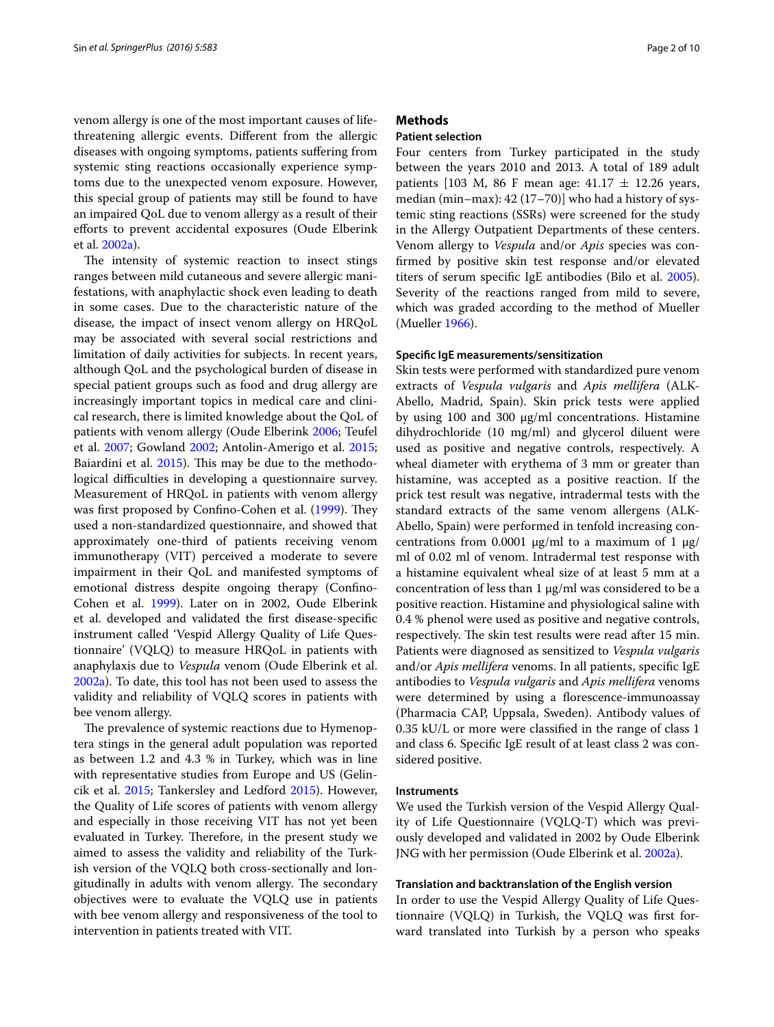venom allergy is one of the most important causes of lifethreatening allergic events. Different from the allergic diseases with ongoing symptoms, patients suffering from systemic sting reactions occasionally experience symptoms due to the unexpected venom exposure. However, this special group of patients may still be found to have an impaired QoL due to venom allergy as a result of their efforts to prevent accidental exposures (Oude Elberink et al. [2002a](#page-9-3)).

The intensity of systemic reaction to insect stings ranges between mild cutaneous and severe allergic manifestations, with anaphylactic shock even leading to death in some cases. Due to the characteristic nature of the disease, the impact of insect venom allergy on HRQoL may be associated with several social restrictions and limitation of daily activities for subjects. In recent years, although QoL and the psychological burden of disease in special patient groups such as food and drug allergy are increasingly important topics in medical care and clinical research, there is limited knowledge about the QoL of patients with venom allergy (Oude Elberink [2006](#page-9-0); Teufel et al. [2007;](#page-9-2) Gowland [2002;](#page-9-4) Antolin-Amerigo et al. [2015](#page-8-1); Baiardini et al. [2015\)](#page-8-2). This may be due to the methodological difficulties in developing a questionnaire survey. Measurement of HRQoL in patients with venom allergy was first proposed by Confino-Cohen et al. [\(1999\)](#page-8-3). They used a non-standardized questionnaire, and showed that approximately one-third of patients receiving venom immunotherapy (VIT) perceived a moderate to severe impairment in their QoL and manifested symptoms of emotional distress despite ongoing therapy (Confino-Cohen et al. [1999\)](#page-8-3). Later on in 2002, Oude Elberink et al. developed and validated the first disease-specific instrument called 'Vespid Allergy Quality of Life Questionnaire' (VQLQ) to measure HRQoL in patients with anaphylaxis due to *Vespula* venom (Oude Elberink et al. [2002a\)](#page-9-3). To date, this tool has not been used to assess the validity and reliability of VQLQ scores in patients with bee venom allergy.

The prevalence of systemic reactions due to Hymenoptera stings in the general adult population was reported as between 1.2 and 4.3 % in Turkey, which was in line with representative studies from Europe and US (Gelincik et al. [2015;](#page-9-5) Tankersley and Ledford [2015](#page-9-6)). However, the Quality of Life scores of patients with venom allergy and especially in those receiving VIT has not yet been evaluated in Turkey. Therefore, in the present study we aimed to assess the validity and reliability of the Turkish version of the VQLQ both cross-sectionally and longitudinally in adults with venom allergy. The secondary objectives were to evaluate the VQLQ use in patients with bee venom allergy and responsiveness of the tool to intervention in patients treated with VIT.

## **Methods**

## **Patient selection**

Four centers from Turkey participated in the study between the years 2010 and 2013. A total of 189 adult patients [103 M, 86 F mean age:  $41.17 \pm 12.26$  years, median (min–max): 42 (17–70)] who had a history of systemic sting reactions (SSRs) were screened for the study in the Allergy Outpatient Departments of these centers. Venom allergy to *Vespula* and/or *Apis* species was confirmed by positive skin test response and/or elevated titers of serum specific IgE antibodies (Bilo et al. [2005](#page-8-4)). Severity of the reactions ranged from mild to severe, which was graded according to the method of Mueller (Mueller [1966\)](#page-9-7).

#### **Specific IgE measurements/sensitization**

Skin tests were performed with standardized pure venom extracts of *Vespula vulgaris* and *Apis mellifera* (ALK-Abello, Madrid, Spain). Skin prick tests were applied by using 100 and 300 μg/ml concentrations. Histamine dihydrochloride (10 mg/ml) and glycerol diluent were used as positive and negative controls, respectively. A wheal diameter with erythema of 3 mm or greater than histamine, was accepted as a positive reaction. If the prick test result was negative, intradermal tests with the standard extracts of the same venom allergens (ALK-Abello, Spain) were performed in tenfold increasing concentrations from 0.0001  $\mu$ g/ml to a maximum of 1  $\mu$ g/ ml of 0.02 ml of venom. Intradermal test response with a histamine equivalent wheal size of at least 5 mm at a concentration of less than 1 μg/ml was considered to be a positive reaction. Histamine and physiological saline with 0.4 % phenol were used as positive and negative controls, respectively. The skin test results were read after 15 min. Patients were diagnosed as sensitized to *Vespula vulgaris* and/or *Apis mellifera* venoms. In all patients, specific IgE antibodies to *Vespula vulgaris* and *Apis mellifera* venoms were determined by using a florescence-immunoassay (Pharmacia CAP, Uppsala, Sweden). Antibody values of 0.35 kU/L or more were classified in the range of class 1 and class 6. Specific IgE result of at least class 2 was considered positive.

#### **Instruments**

We used the Turkish version of the Vespid Allergy Quality of Life Questionnaire (VQLQ-T) which was previously developed and validated in 2002 by Oude Elberink JNG with her permission (Oude Elberink et al. [2002a](#page-9-3)).

#### **Translation and backtranslation of the English version**

In order to use the Vespid Allergy Quality of Life Questionnaire (VQLQ) in Turkish, the VQLQ was first forward translated into Turkish by a person who speaks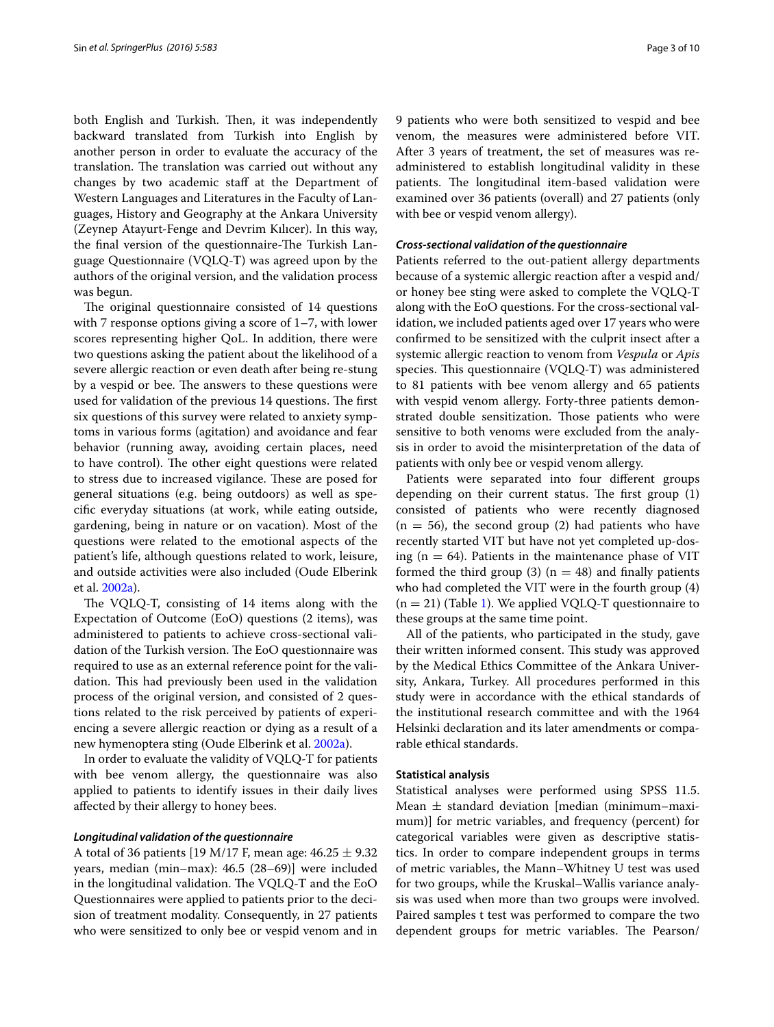both English and Turkish. Then, it was independently backward translated from Turkish into English by another person in order to evaluate the accuracy of the translation. The translation was carried out without any changes by two academic staff at the Department of Western Languages and Literatures in the Faculty of Languages, History and Geography at the Ankara University (Zeynep Atayurt-Fenge and Devrim Kılıcer). In this way, the final version of the questionnaire-The Turkish Language Questionnaire (VQLQ-T) was agreed upon by the authors of the original version, and the validation process was begun.

The original questionnaire consisted of 14 questions with 7 response options giving a score of 1–7, with lower scores representing higher QoL. In addition, there were two questions asking the patient about the likelihood of a severe allergic reaction or even death after being re-stung by a vespid or bee. The answers to these questions were used for validation of the previous 14 questions. The first six questions of this survey were related to anxiety symptoms in various forms (agitation) and avoidance and fear behavior (running away, avoiding certain places, need to have control). The other eight questions were related to stress due to increased vigilance. These are posed for general situations (e.g. being outdoors) as well as specific everyday situations (at work, while eating outside, gardening, being in nature or on vacation). Most of the questions were related to the emotional aspects of the patient's life, although questions related to work, leisure, and outside activities were also included (Oude Elberink et al. [2002a](#page-9-3)).

The VQLQ-T, consisting of 14 items along with the Expectation of Outcome (EoO) questions (2 items), was administered to patients to achieve cross-sectional validation of the Turkish version. The EoO questionnaire was required to use as an external reference point for the validation. This had previously been used in the validation process of the original version, and consisted of 2 questions related to the risk perceived by patients of experiencing a severe allergic reaction or dying as a result of a new hymenoptera sting (Oude Elberink et al. [2002a\)](#page-9-3).

In order to evaluate the validity of VQLQ-T for patients with bee venom allergy, the questionnaire was also applied to patients to identify issues in their daily lives affected by their allergy to honey bees.

#### *Longitudinal validation of the questionnaire*

A total of 36 patients [19 M/17 F, mean age:  $46.25 \pm 9.32$ years, median (min–max): 46.5 (28–69)] were included in the longitudinal validation. The VQLQ-T and the EoO Questionnaires were applied to patients prior to the decision of treatment modality. Consequently, in 27 patients who were sensitized to only bee or vespid venom and in 9 patients who were both sensitized to vespid and bee venom, the measures were administered before VIT. After 3 years of treatment, the set of measures was readministered to establish longitudinal validity in these patients. The longitudinal item-based validation were examined over 36 patients (overall) and 27 patients (only with bee or vespid venom allergy).

#### *Cross‑sectional validation of the questionnaire*

Patients referred to the out-patient allergy departments because of a systemic allergic reaction after a vespid and/ or honey bee sting were asked to complete the VQLQ-T along with the EoO questions. For the cross-sectional validation, we included patients aged over 17 years who were confirmed to be sensitized with the culprit insect after a systemic allergic reaction to venom from *Vespula* or *Apis* species. This questionnaire (VQLQ-T) was administered to 81 patients with bee venom allergy and 65 patients with vespid venom allergy. Forty-three patients demonstrated double sensitization. Those patients who were sensitive to both venoms were excluded from the analysis in order to avoid the misinterpretation of the data of patients with only bee or vespid venom allergy.

Patients were separated into four different groups depending on their current status. The first group (1) consisted of patients who were recently diagnosed  $(n = 56)$ , the second group (2) had patients who have recently started VIT but have not yet completed up-dosing ( $n = 64$ ). Patients in the maintenance phase of VIT formed the third group (3)  $(n = 48)$  and finally patients who had completed the VIT were in the fourth group (4)  $(n = 21)$  $(n = 21)$  (Table 1). We applied VQLQ-T questionnaire to these groups at the same time point.

All of the patients, who participated in the study, gave their written informed consent. This study was approved by the Medical Ethics Committee of the Ankara University, Ankara, Turkey. All procedures performed in this study were in accordance with the ethical standards of the institutional research committee and with the 1964 Helsinki declaration and its later amendments or comparable ethical standards.

#### **Statistical analysis**

Statistical analyses were performed using SPSS 11.5. Mean  $\pm$  standard deviation [median (minimum–maximum)] for metric variables, and frequency (percent) for categorical variables were given as descriptive statistics. In order to compare independent groups in terms of metric variables, the Mann–Whitney U test was used for two groups, while the Kruskal–Wallis variance analysis was used when more than two groups were involved. Paired samples t test was performed to compare the two dependent groups for metric variables. The Pearson/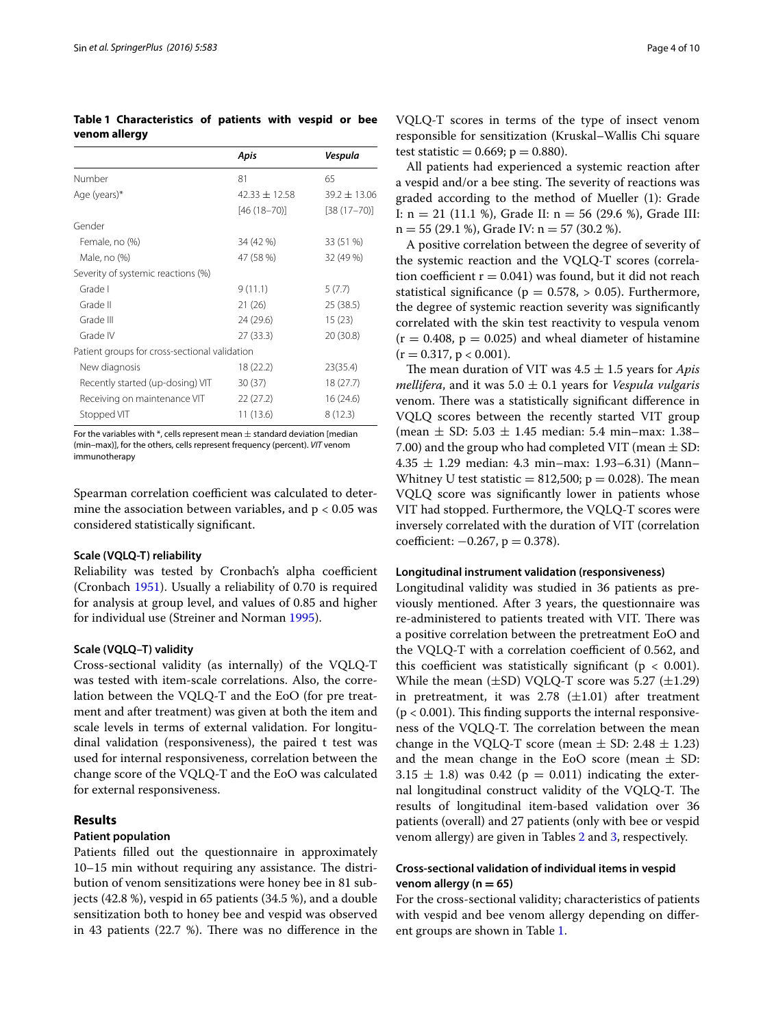<span id="page-3-0"></span>**Table 1 Characteristics of patients with vespid or bee venom allergy**

|                                               | Apis              | Vespula          |
|-----------------------------------------------|-------------------|------------------|
| Number                                        | 81                | 65               |
| Age (years)*                                  | $42.33 \pm 12.58$ | $39.2 \pm 13.06$ |
|                                               | $[46(18-70)]$     | $[38(17-70)]$    |
| Gender                                        |                   |                  |
| Female, no (%)                                | 34 (42 %)         | 33 (51 %)        |
| Male, no (%)                                  | 47 (58 %)         | 32 (49 %)        |
| Severity of systemic reactions (%)            |                   |                  |
| Grade I                                       | 9(11.1)           | 5(7.7)           |
| Grade II                                      | 21(26)            | 25 (38.5)        |
| Grade III                                     | 24 (29.6)         | 15(23)           |
| Grade IV                                      | 27 (33.3)         | 20 (30.8)        |
| Patient groups for cross-sectional validation |                   |                  |
| New diagnosis                                 | 18 (22.2)         | 23(35.4)         |
| Recently started (up-dosing) VIT              | 30(37)            | 18(27.7)         |
| Receiving on maintenance VIT                  | 22 (27.2)         | 16 (24.6)        |
| Stopped VIT                                   | 11 (13.6)         | 8(12.3)          |

For the variables with  $*$ , cells represent mean  $\pm$  standard deviation [median (min–max)], for the others, cells represent frequency (percent). *VIT* venom immunotherapy

Spearman correlation coefficient was calculated to determine the association between variables, and  $p < 0.05$  was considered statistically significant.

#### **Scale (VQLQ‑T) reliability**

Reliability was tested by Cronbach's alpha coefficient (Cronbach [1951](#page-9-8)). Usually a reliability of 0.70 is required for analysis at group level, and values of 0.85 and higher for individual use (Streiner and Norman [1995](#page-9-9)).

#### **Scale (VQLQ–T) validity**

Cross-sectional validity (as internally) of the VQLQ-T was tested with item-scale correlations. Also, the correlation between the VQLQ-T and the EoO (for pre treatment and after treatment) was given at both the item and scale levels in terms of external validation. For longitudinal validation (responsiveness), the paired t test was used for internal responsiveness, correlation between the change score of the VQLQ-T and the EoO was calculated for external responsiveness.

## **Results**

## **Patient population**

Patients filled out the questionnaire in approximately 10–15 min without requiring any assistance. The distribution of venom sensitizations were honey bee in 81 subjects (42.8 %), vespid in 65 patients (34.5 %), and a double sensitization both to honey bee and vespid was observed in 43 patients (22.7 %). There was no difference in the VQLQ-T scores in terms of the type of insect venom responsible for sensitization (Kruskal–Wallis Chi square test statistic = 0.669;  $p = 0.880$ ).

All patients had experienced a systemic reaction after a vespid and/or a bee sting. The severity of reactions was graded according to the method of Mueller (1): Grade I:  $n = 21$  (11.1 %), Grade II:  $n = 56$  (29.6 %), Grade III:  $n = 55 (29.1 \text{ %})$ , Grade IV:  $n = 57 (30.2 \text{ %})$ .

A positive correlation between the degree of severity of the systemic reaction and the VQLQ-T scores (correlation coefficient  $r = 0.041$ ) was found, but it did not reach statistical significance ( $p = 0.578$ ,  $> 0.05$ ). Furthermore, the degree of systemic reaction severity was significantly correlated with the skin test reactivity to vespula venom  $(r = 0.408, p = 0.025)$  and wheal diameter of histamine  $(r = 0.317, p < 0.001).$ 

The mean duration of VIT was 4.5 ± 1.5 years for *Apis mellifera*, and it was 5.0 ± 0.1 years for *Vespula vulgaris* venom. There was a statistically significant difference in VQLQ scores between the recently started VIT group (mean  $\pm$  SD: 5.03  $\pm$  1.45 median: 5.4 min–max: 1.38– 7.00) and the group who had completed VIT (mean  $\pm$  SD:  $4.35 \pm 1.29$  median: 4.3 min–max: 1.93–6.31) (Mann– Whitney U test statistic  $= 812,500$ ;  $p = 0.028$ ). The mean VQLQ score was significantly lower in patients whose VIT had stopped. Furthermore, the VQLQ-T scores were inversely correlated with the duration of VIT (correlation coefficient:  $-0.267$ ,  $p = 0.378$ ).

#### **Longitudinal instrument validation (responsiveness)**

Longitudinal validity was studied in 36 patients as previously mentioned. After 3 years, the questionnaire was re-administered to patients treated with VIT. There was a positive correlation between the pretreatment EoO and the VQLQ-T with a correlation coefficient of 0.562, and this coefficient was statistically significant ( $p < 0.001$ ). While the mean  $(\pm SD)$  VQLQ-T score was 5.27  $(\pm 1.29)$ in pretreatment, it was 2.78  $(\pm 1.01)$  after treatment  $(p < 0.001)$ . This finding supports the internal responsiveness of the VQLQ-T. The correlation between the mean change in the VQLQ-T score (mean  $\pm$  SD: 2.48  $\pm$  1.23) and the mean change in the EoO score (mean  $\pm$  SD:  $3.15 \pm 1.8$ ) was 0.42 (p = 0.011) indicating the external longitudinal construct validity of the VQLQ-T. The results of longitudinal item-based validation over 36 patients (overall) and 27 patients (only with bee or vespid venom allergy) are given in Tables [2](#page-4-0) and [3,](#page-5-0) respectively.

## **Cross‑sectional validation of individual items in vespid venom allergy (n = 65)**

For the cross-sectional validity; characteristics of patients with vespid and bee venom allergy depending on different groups are shown in Table [1](#page-3-0).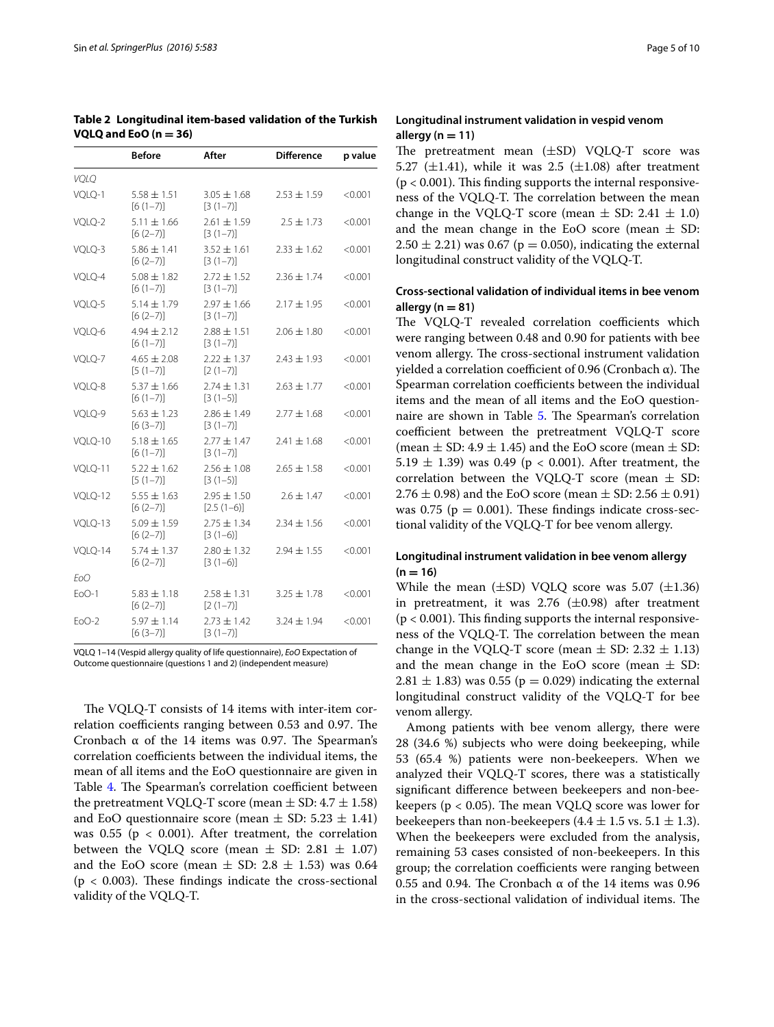|             | <b>Before</b>                 | After                           | <b>Difference</b> | p value |
|-------------|-------------------------------|---------------------------------|-------------------|---------|
| <b>VOLO</b> |                               |                                 |                   |         |
| VQLQ-1      | $5.58 \pm 1.51$<br>$[6(1-7)]$ | $3.05 \pm 1.68$<br>$[3(1-7)]$   | $2.53 \pm 1.59$   | < 0.001 |
| VOLO-2      | $5.11 \pm 1.66$<br>$[6(2-7)]$ | $2.61 \pm 1.59$<br>$[3(1-7)]$   | $2.5 + 1.73$      | < 0.001 |
| VQLQ-3      | $5.86 \pm 1.41$<br>$[6(2-7)]$ | $3.52 \pm 1.61$<br>$[3(1-7)]$   | $2.33 \pm 1.62$   | < 0.001 |
| VQLQ-4      | $5.08 \pm 1.82$<br>$[6(1-7)]$ | $2.72 \pm 1.52$<br>$[3(1-7)]$   | $2.36 \pm 1.74$   | < 0.001 |
| VQLQ-5      | $5.14 \pm 1.79$<br>$[6(2-7)]$ | $2.97 \pm 1.66$<br>$[3(1-7)]$   | $2.17 \pm 1.95$   | < 0.001 |
| VQLQ-6      | $4.94 \pm 2.12$<br>$[6(1-7)]$ | $2.88 \pm 1.51$<br>$[3(1-7)]$   | $2.06 \pm 1.80$   | < 0.001 |
| VQLQ-7      | $4.65 \pm 2.08$<br>$[5(1-7)]$ | $2.22 \pm 1.37$<br>$[2(1-7)]$   | $2.43 \pm 1.93$   | < 0.001 |
| VQLQ-8      | $5.37 \pm 1.66$<br>$[6(1-7)]$ | $2.74 \pm 1.31$<br>$[3(1-5)]$   | $2.63 \pm 1.77$   | < 0.001 |
| VQLQ-9      | $5.63 \pm 1.23$<br>$[6(3-7)]$ | $2.86 \pm 1.49$<br>$[3(1-7)]$   | $2.77 \pm 1.68$   | < 0.001 |
| VOLO-10     | $5.18 \pm 1.65$<br>$[6(1-7)]$ | $2.77 \pm 1.47$<br>$[3(1-7)]$   | $2.41 \pm 1.68$   | < 0.001 |
| VQLQ-11     | $5.22 \pm 1.62$<br>$[5(1-7)]$ | $2.56 \pm 1.08$<br>$[3(1-5)]$   | $2.65 \pm 1.58$   | < 0.001 |
| VOLO-12     | $5.55 \pm 1.63$<br>$[6(2-7)]$ | $2.95 \pm 1.50$<br>$[2.5(1-6)]$ | $2.6 \pm 1.47$    | < 0.001 |
| VQLQ-13     | $5.09 \pm 1.59$<br>$[6(2-7)]$ | $2.75 + 1.34$<br>$[3(1-6)]$     | $2.34 \pm 1.56$   | < 0.001 |
| VQLQ-14     | $5.74 \pm 1.37$<br>$[6(2-7)]$ | $2.80 \pm 1.32$<br>$[3(1-6)]$   | $2.94 \pm 1.55$   | < 0.001 |
| EoO         |                               |                                 |                   |         |
| $EOO-1$     | $5.83 \pm 1.18$<br>$[6(2-7)]$ | $2.58 \pm 1.31$<br>$[2(1-7)]$   | $3.25 \pm 1.78$   | < 0.001 |
| $F0O-2$     | $5.97 \pm 1.14$<br>$[6(3-7)]$ | $2.73 \pm 1.42$<br>$[3(1-7)]$   | $3.24 + 1.94$     | < 0.001 |

<span id="page-4-0"></span>**Table 2 Longitudinal item-based validation of the Turkish VQLQ and EoO (n = 36)**

VQLQ 1–14 (Vespid allergy quality of life questionnaire), *EoO* Expectation of Outcome questionnaire (questions 1 and 2) (independent measure)

The VQLQ-T consists of 14 items with inter-item correlation coefficients ranging between 0.53 and 0.97. The Cronbach α of the 14 items was 0.97. The Spearman's correlation coefficients between the individual items, the mean of all items and the EoO questionnaire are given in Table [4](#page-6-0). The Spearman's correlation coefficient between the pretreatment VQLQ-T score (mean  $\pm$  SD: 4.7  $\pm$  1.58) and EoO questionnaire score (mean  $\pm$  SD: 5.23  $\pm$  1.41) was  $0.55$  ( $p < 0.001$ ). After treatment, the correlation between the VQLQ score (mean  $\pm$  SD: 2.81  $\pm$  1.07) and the EoO score (mean  $\pm$  SD: 2.8  $\pm$  1.53) was 0.64  $(p < 0.003)$ . These findings indicate the cross-sectional validity of the VQLQ-T.

## **Longitudinal instrument validation in vespid venom allergy (n = 11)**

The pretreatment mean (±SD) VQLQ-T score was 5.27 ( $\pm$ 1.41), while it was 2.5 ( $\pm$ 1.08) after treatment  $(p < 0.001)$ . This finding supports the internal responsiveness of the VQLQ-T. The correlation between the mean change in the VQLQ-T score (mean  $\pm$  SD: 2.41  $\pm$  1.0) and the mean change in the EoO score (mean  $\pm$  SD:  $2.50 \pm 2.21$ ) was 0.67 (p = 0.050), indicating the external longitudinal construct validity of the VQLQ-T.

## **Cross‑sectional validation of individual items in bee venom allergy (n = 81)**

The VQLQ-T revealed correlation coefficients which were ranging between 0.48 and 0.90 for patients with bee venom allergy. The cross-sectional instrument validation yielded a correlation coefficient of 0.96 (Cronbach α). The Spearman correlation coefficients between the individual items and the mean of all items and the EoO questionnaire are shown in Table [5.](#page-6-1) The Spearman's correlation coefficient between the pretreatment VQLQ-T score (mean  $\pm$  SD: 4.9  $\pm$  1.45) and the EoO score (mean  $\pm$  SD: 5.19  $\pm$  1.39) was 0.49 (p < 0.001). After treatment, the correlation between the VQLQ-T score (mean  $\pm$  SD: 2.76  $\pm$  0.98) and the EoO score (mean  $\pm$  SD: 2.56  $\pm$  0.91) was  $0.75$  ( $p = 0.001$ ). These findings indicate cross-sectional validity of the VQLQ-T for bee venom allergy.

## **Longitudinal instrument validation in bee venom allergy**   $(n = 16)$

While the mean  $(\pm SD)$  VQLQ score was 5.07  $(\pm 1.36)$ in pretreatment, it was 2.76  $(\pm 0.98)$  after treatment  $(p < 0.001)$ . This finding supports the internal responsiveness of the VQLQ-T. The correlation between the mean change in the VQLQ-T score (mean  $\pm$  SD: 2.32  $\pm$  1.13) and the mean change in the EoO score (mean  $\pm$  SD:  $2.81 \pm 1.83$ ) was 0.55 (p = 0.029) indicating the external longitudinal construct validity of the VQLQ-T for bee venom allergy.

Among patients with bee venom allergy, there were 28 (34.6 %) subjects who were doing beekeeping, while 53 (65.4 %) patients were non-beekeepers. When we analyzed their VQLQ-T scores, there was a statistically significant difference between beekeepers and non-beekeepers ( $p < 0.05$ ). The mean VQLQ score was lower for beekeepers than non-beekeepers  $(4.4 \pm 1.5 \text{ vs. } 5.1 \pm 1.3)$ . When the beekeepers were excluded from the analysis, remaining 53 cases consisted of non-beekeepers. In this group; the correlation coefficients were ranging between 0.55 and 0.94. The Cronbach α of the 14 items was 0.96 in the cross-sectional validation of individual items. The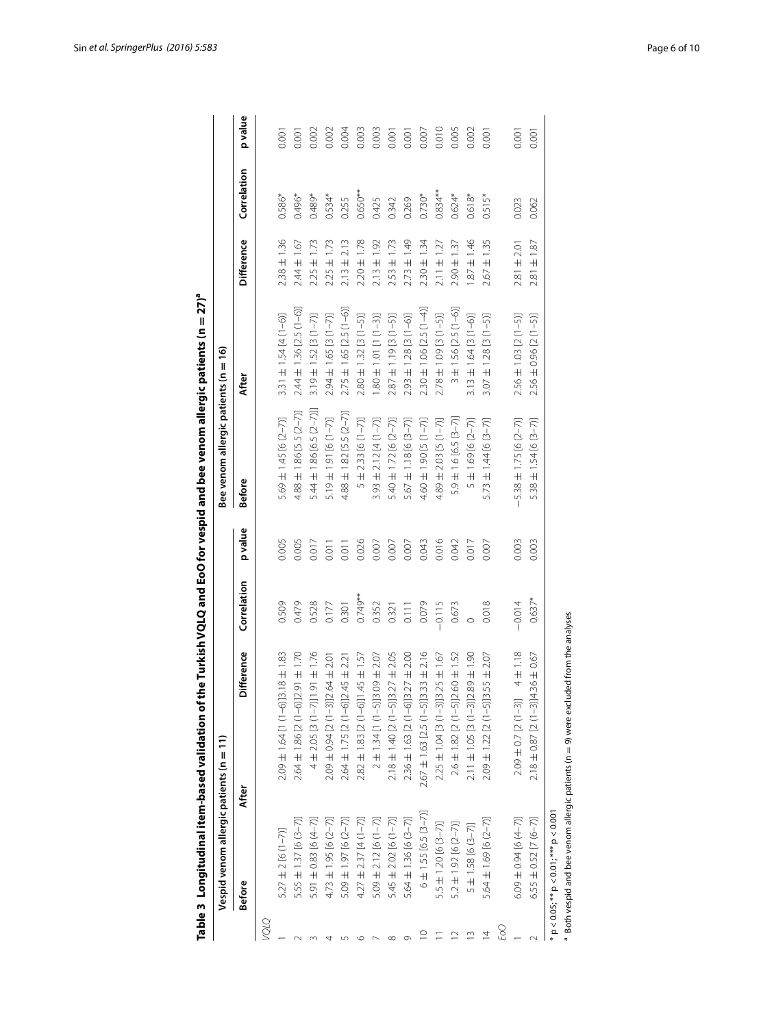|             | Vespid venom allergic patients (n = 11)      |                                                                                         |             |         | Bee venom allergic patients (n =             | $\tilde{e}$                 |                    |             |                |
|-------------|----------------------------------------------|-----------------------------------------------------------------------------------------|-------------|---------|----------------------------------------------|-----------------------------|--------------------|-------------|----------------|
|             | <b>Before</b>                                | Difference<br>After                                                                     | Correlation | p value | <b>Before</b>                                | After                       | <b>Difference</b>  | Correlation | p value        |
| <b>DTO/</b> |                                              |                                                                                         |             |         |                                              |                             |                    |             |                |
|             | $5.27 \pm 2 [6 (1 - 7)]$                     | $2.09 \pm 1.64$ [1 (1-6)]3.18 $\pm$ 1.83                                                | 0.509       | 0.005   | 5.69 ± 1.45 [6 (2-7)]                        | $3.31 \pm 1.54 [4(1-6)]$    | $2.38 \pm 1.36$    | 0.586*      | 0.001          |
|             | 5.55 ± 1.37 [6 (3-7)]                        | $2.64 \pm 1.86$ [2 (1-6)]2.91 $\pm$ 1.70                                                | 0.479       | 0.005   | $4.88 \pm 1.86$ [5.5 (2-7)]                  | $2.44 \pm 1.36$ [2.5 (1-6)] | $2.44 \pm 1.67$    | 0.496*      | 0.001          |
|             | 5.91 ± 0.83 [6 (4-7)]                        | $-91 \pm 1.76$<br>$4 \pm 2.05$ [3 (1-7)]                                                | 0.528       | 0.017   | 5.44 ± 1.86 [6.5 (2-7)]]                     | $3.19 \pm 1.52$ [3 (1-7)]   | $2.25 \pm 1.73$    | 0.489*      | 0.002          |
|             | $4.73 \pm 1.95$ [6 (2-7)]                    | $64 \pm 2.01$<br>$2.09 \pm 0.94$ [2 (1-3)]2                                             | 0.177       | 0.011   | $5.19 \pm 1.91$ [6 (1-7)]                    | $2.94 \pm 1.65$ [3 (1-7)]   | $2.25 \pm 1.73$    | $0.534*$    | 0.002          |
|             | 5.09 ± 1.97 [6 (2-7)]                        | $2.64 \pm 1.75$ [2 (1-6)] $2.45 \pm 2.21$                                               | 0.301       | 0.011   | $4.88 \pm 1.82$ [5.5 (2-7)]                  | $2.75 \pm 1.65$ [2.5 (1-6)  | $2.13 \pm 2.13$    | 0.255       | 0.004          |
|             | $4.27 \pm 2.37$ [4 (1-7)]                    | 1.57<br>$+545$<br>$2.82 \pm 1.83$ [2 (1-6)]1                                            | $0.749**$   | 0.026   | $2.33$ [6 $(1 - 7)$ ]<br>$\overline{+}$<br>S | $2.80 \pm 1.32$ [3 (1-5)]   | $2.20 \pm 1.78$    | $0.650**$   | 0.003          |
|             | $5.09 \pm 2.12$ [6 (1-7)]                    | 2.07<br>$2 \pm 1.34$ [1 (1-5)]3.09 $\pm$                                                | 0.352       | 0.007   | $3.93 \pm 2.12 [4(1-7)]$                     | $101$ [1 $-3$ ]             | $2.13 \pm 1.92$    | 0.425       | 0.003          |
|             | $5.45 \pm 2.02$ [6 (1-7)]                    | 2.05<br>$27 \pm$<br>$2.18 \pm 1.40$ [2 (1-5)]3                                          | 0.321       | 0.007   | 5.40 ± 1.72 [6 (2-7)]                        | $2.87 \pm 1.19$ [3 (1-5)]   | $2.53 \pm 1.73$    | 0.342       | 0.001          |
|             | 5.64 ± 1.36 [6 (3-7)]                        | 2.00<br>$27 \pm 1$<br>$2.36 \pm 1.63$ [2 (1-6)]3                                        | 0.111       | 0.007   | $5.67 \pm 1.18 [6 (3-7)]$                    | $2.93 \pm 1.28$ [3 (1-6)]   | $2.73 \pm 1.49$    | 0.269       | $0.00^{\circ}$ |
|             | $6 \pm 1.55$ [6.5 (3-7)]                     | $-33 \pm 2.16$<br>$2.67 \pm 1.63$ [2.5 (1-5)]3.                                         | 0.079       | 0.043   | 4.60 $\pm$ 1.90 [5 (1-7)]                    | $2.30 \pm 1.06$ [2.5 (1-4)] | $2.30 \pm 1.34$    | $0.730*$    | 0.007          |
|             | $5.5 \pm 1.20$ [6 $(3-7)$ ]                  | $2.25 \pm 1.04$ [3 (1-3)] $3.25 \pm 1.67$                                               | $-0.115$    | 0.016   | $.89 \pm 2.03$ [5 (1-7)]                     | $2.78 \pm 1.09$ [3 (1-5)]   | $2.11 \pm 1.27$    | $0.834***$  | 0.010          |
|             | $5.2 \pm 1.92$ [6 $(2-7)$ ]                  | $.60 \pm 1.52$<br>$2.6 \pm 1.82$ [2 (1-5)]2                                             | 0.673       | 0.042   | $5.9 \pm 1.6$ [6.5 (3-7)]                    | $3 \pm 1.56$ [2.5 (1-6)]    | $2.90 \pm 1.37$    | $0.624*$    | 0.005          |
| $\sim$      | $5 \pm 1.58$ [6 (3-7)]                       | $\frac{1}{2}$<br>$+89 +$<br>$2.11 \pm 1.05$ [3 $(1-3)$ ]                                | $\circ$     | 0.017   | $\pm$ 1.69 [6 (2-7)]<br>S                    | $3.13 \pm 1.64$ [3 (1-6)]   | $-951 \pm 1.46$    | $0.618*$    | 0.002          |
| 4           | 5.64 ± 1.69 [6 (2-7)]                        | $.55 \pm 2.07$<br>$2.09 \pm 1.22$ [2 (1-5)]3.                                           | 0.018       | 0.007   | $5.73 \pm 1.44$ [6 $(3-7)$ ]                 | $3.07 \pm 1.28$ [3 (1-5)]   | $2.67 \pm 1.35$    | $0.515*$    | 0.001          |
| EoO         |                                              |                                                                                         |             |         |                                              |                             |                    |             |                |
|             | $6.09 \pm 0.94$ [6 (4-7)]                    | $4 \pm 1.18$<br>$2.09 \pm 0.7$ [2 (1-3)]                                                | $-0.014$    | 0.003   | $-5.38 \pm 1.75$ [6 (2-7)]                   | $2.56 \pm 1.03$ [2 (1-5)]   | $2.81 \pm 2.01$    | 0.023       | 0.001          |
|             | $6.55 \pm 0.52$ [7 $(6 - 7)$ ]               | $.36 \pm 0.67$<br>$2.18 \pm 0.87$ [2 (1-3)]4                                            | $0.637*$    | 0.003   | $5.38 \pm 1.54$ [6 (3-7)]                    | $2.56 \pm 0.96$ [2 (1-5)]   | $\pm$ 1.87<br>2.81 | 0.062       | 0.001          |
|             | $p < 0.05$ ; ** $p < 0.01$ ; *** $p < 0.001$ | Both vespid and bee venom allergic patients ( $n = 9$ ) were excluded from the analyses |             |         |                                              |                             |                    |             |                |
|             |                                              |                                                                                         |             |         |                                              |                             |                    |             |                |

<span id="page-5-0"></span>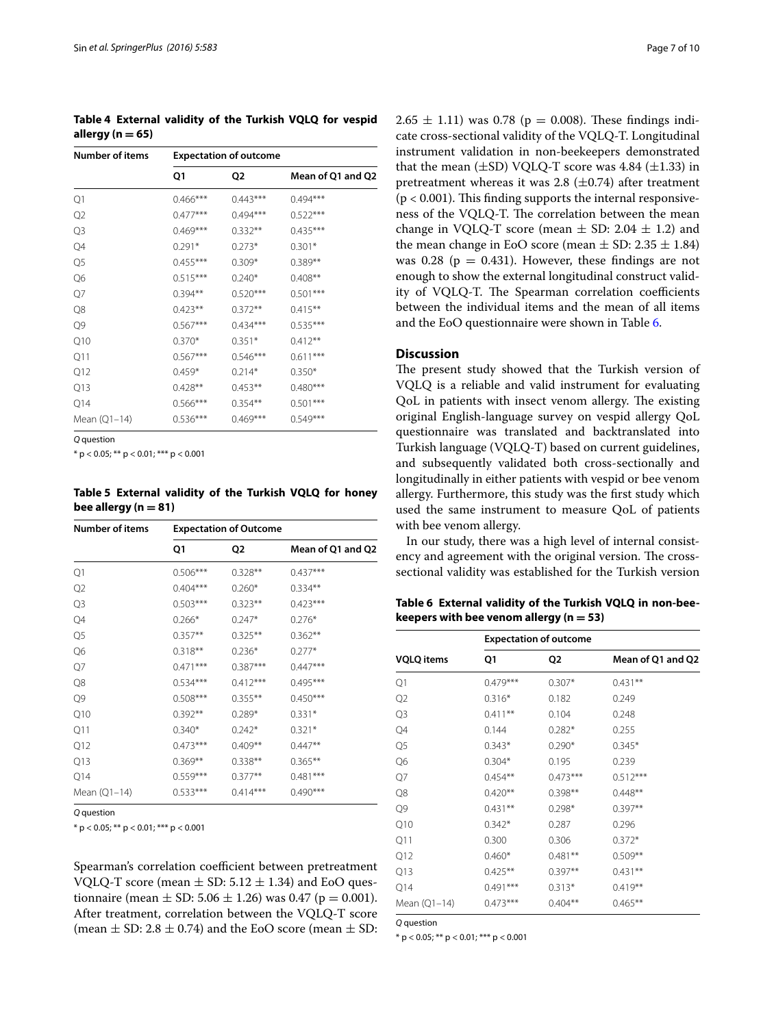<span id="page-6-0"></span>**Table 4 External validity of the Turkish VQLQ for vespid allergy (n = 65)**

| <b>Number of items</b> |            | <b>Expectation of outcome</b> |                   |  |  |
|------------------------|------------|-------------------------------|-------------------|--|--|
|                        | Q1         | Q2                            | Mean of Q1 and Q2 |  |  |
| Q1                     | $0.466***$ | $0.443***$                    | $0.494***$        |  |  |
| Q <sub>2</sub>         | $0.477***$ | $0.494***$                    | $0.522***$        |  |  |
| Q3                     | $0.469***$ | $0.332**$                     | $0.435***$        |  |  |
| Q4                     | $0.291*$   | $0.273*$                      | $0.301*$          |  |  |
| Q <sub>5</sub>         | $0.455***$ | $0.309*$                      | $0.389**$         |  |  |
| Q6                     | $0.515***$ | $0.240*$                      | $0.408**$         |  |  |
| Q7                     | $0.394**$  | $0.520***$                    | $0.501***$        |  |  |
| Q8                     | $0.423**$  | $0.372**$                     | $0.415***$        |  |  |
| Q9                     | $0.567***$ | $0.434***$                    | $0.535***$        |  |  |
| Q10                    | $0.370*$   | $0.351*$                      | $0.412**$         |  |  |
| Q11                    | $0.567***$ | $0.546***$                    | $0.611***$        |  |  |
| Q12                    | 0.459*     | $0.214*$                      | $0.350*$          |  |  |
| Q13                    | $0.428**$  | $0.453**$                     | $0.480***$        |  |  |
| Q14                    | $0.566***$ | $0.354**$                     | $0.501***$        |  |  |
| Mean (Q1-14)           | $0.536***$ | $0.469***$                    | $0.549***$        |  |  |

*Q* question

 $*$  p < 0.05; \*\* p < 0.01; \*\*\* p < 0.001

<span id="page-6-1"></span>**Table 5 External validity of the Turkish VQLQ for honey**   $be$ e allergy  $(n = 81)$ 

| <b>Number of items</b> |            | <b>Expectation of Outcome</b> |                   |
|------------------------|------------|-------------------------------|-------------------|
|                        | Q1         | Q2                            | Mean of Q1 and Q2 |
| Q1                     | $0.506***$ | $0.328**$                     | $0.437***$        |
| Q2                     | $0.404***$ | $0.260*$                      | $0.334***$        |
| Q3                     | $0.503***$ | $0.323**$                     | $0.423***$        |
| Q4                     | $0.266*$   | $0.247*$                      | $0.276*$          |
| Q <sub>5</sub>         | $0.357**$  | $0.325***$                    | $0.362**$         |
| Q6                     | $0.318**$  | $0.236*$                      | $0.277*$          |
| Q7                     | $0.471***$ | $0.387***$                    | $0.447***$        |
| Q8                     | $0.534***$ | $0.412***$                    | $0.495***$        |
| Q9                     | $0.508***$ | $0.355***$                    | $0.450***$        |
| Q10                    | $0.392**$  | $0.289*$                      | $0.331*$          |
| Q11                    | $0.340*$   | $0.242*$                      | $0.321*$          |
| Q12                    | $0.473***$ | $0.409**$                     | $0.447**$         |
| Q13                    | $0.369**$  | $0.338**$                     | $0.365**$         |
| Q14                    | $0.559***$ | $0.377**$                     | $0.481***$        |
| Mean (Q1-14)           | $0.533***$ | $0.414***$                    | $0.490***$        |

*Q* question

 $*$  p < 0.05; \*\* p < 0.01; \*\*\* p < 0.001

Spearman's correlation coefficient between pretreatment VQLQ-T score (mean  $\pm$  SD: 5.12  $\pm$  1.34) and EoO questionnaire (mean  $\pm$  SD: 5.06  $\pm$  1.26) was 0.47 (p = 0.001). After treatment, correlation between the VQLQ-T score (mean  $\pm$  SD: 2.8  $\pm$  0.74) and the EoO score (mean  $\pm$  SD: 2.65  $\pm$  1.11) was 0.78 (p = 0.008). These findings indicate cross-sectional validity of the VQLQ-T. Longitudinal instrument validation in non-beekeepers demonstrated that the mean  $(\pm SD)$  VQLQ-T score was 4.84  $(\pm 1.33)$  in pretreatment whereas it was 2.8  $(\pm 0.74)$  after treatment  $(p < 0.001)$ . This finding supports the internal responsiveness of the VQLQ-T. The correlation between the mean change in VQLQ-T score (mean  $\pm$  SD: 2.04  $\pm$  1.2) and the mean change in EoO score (mean  $\pm$  SD: 2.35  $\pm$  1.84) was 0.28 ( $p = 0.431$ ). However, these findings are not enough to show the external longitudinal construct validity of VQLQ-T. The Spearman correlation coefficients between the individual items and the mean of all items and the EoO questionnaire were shown in Table [6](#page-6-2).

## **Discussion**

The present study showed that the Turkish version of VQLQ is a reliable and valid instrument for evaluating QoL in patients with insect venom allergy. The existing original English-language survey on vespid allergy QoL questionnaire was translated and backtranslated into Turkish language (VQLQ-T) based on current guidelines, and subsequently validated both cross-sectionally and longitudinally in either patients with vespid or bee venom allergy. Furthermore, this study was the first study which used the same instrument to measure QoL of patients with bee venom allergy.

In our study, there was a high level of internal consistency and agreement with the original version. The crosssectional validity was established for the Turkish version

<span id="page-6-2"></span>**Table 6 External validity of the Turkish VQLQ in non-beekeepers with bee venom allergy (n = 53)**

| <b>Expectation of outcome</b> |            |                   |  |
|-------------------------------|------------|-------------------|--|
| Q1                            | Q2         | Mean of Q1 and Q2 |  |
| $0.479***$                    | $0.307*$   | $0.431**$         |  |
| $0.316*$                      | 0.182      | 0.249             |  |
| $0.411***$                    | 0.104      | 0.248             |  |
| 0.144                         | $0.282*$   | 0.255             |  |
| $0.343*$                      | $0.290*$   | $0.345*$          |  |
| $0.304*$                      | 0.195      | 0.239             |  |
| $0.454**$                     | $0.473***$ | $0.512***$        |  |
| $0.420**$                     | $0.398**$  | $0.448**$         |  |
| $0.431**$                     | $0.298*$   | $0.397**$         |  |
| $0.342*$                      | 0.287      | 0.296             |  |
| 0.300                         | 0.306      | $0.372*$          |  |
| $0.460*$                      | $0.481**$  | $0.509**$         |  |
| $0.425***$                    | $0.397**$  | $0.431***$        |  |
| $0.491***$                    | $0.313*$   | $0.419**$         |  |
| $0.473***$                    | $0.404**$  | $0.465**$         |  |
|                               |            |                   |  |

*Q* question

 $*$  p < 0.05;  $**$  p < 0.01;  $***$  p < 0.001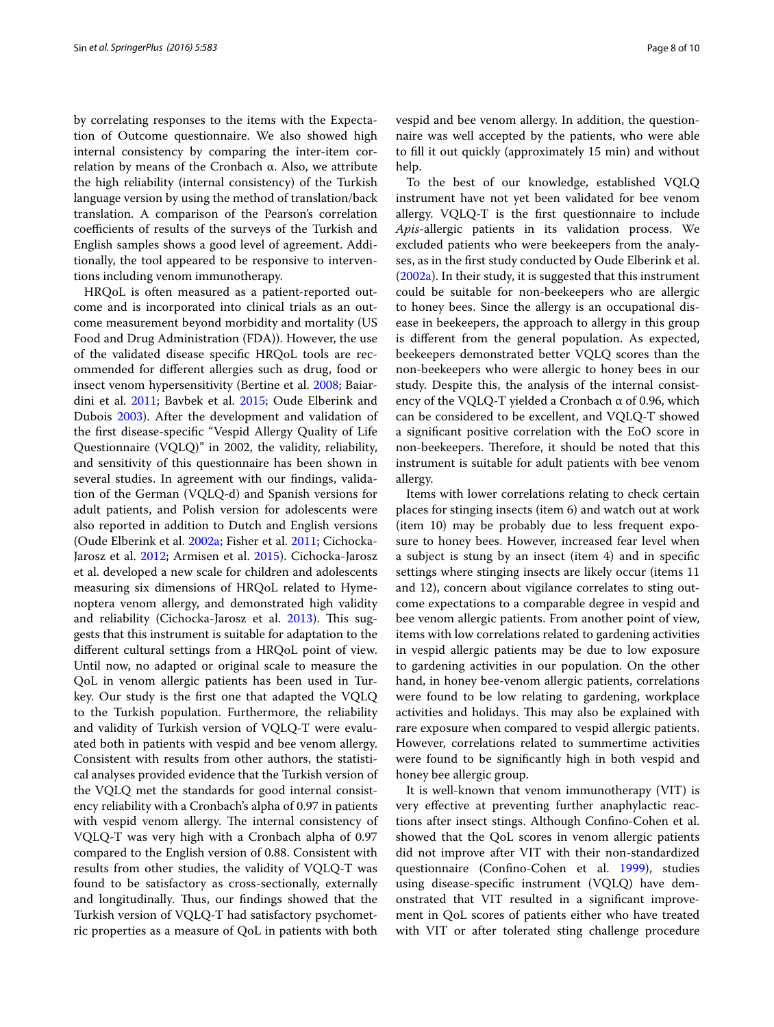by correlating responses to the items with the Expectation of Outcome questionnaire. We also showed high internal consistency by comparing the inter-item correlation by means of the Cronbach α. Also, we attribute the high reliability (internal consistency) of the Turkish language version by using the method of translation/back translation. A comparison of the Pearson's correlation coefficients of results of the surveys of the Turkish and English samples shows a good level of agreement. Additionally, the tool appeared to be responsive to interventions including venom immunotherapy.

HRQoL is often measured as a patient-reported outcome and is incorporated into clinical trials as an outcome measurement beyond morbidity and mortality (US Food and Drug Administration (FDA)). However, the use of the validated disease specific HRQoL tools are recommended for different allergies such as drug, food or insect venom hypersensitivity (Bertine et al. [2008;](#page-8-5) Baiardini et al. [2011;](#page-8-6) Bavbek et al. [2015](#page-8-7); Oude Elberink and Dubois [2003\)](#page-9-10). After the development and validation of the first disease-specific "Vespid Allergy Quality of Life Questionnaire (VQLQ)" in 2002, the validity, reliability, and sensitivity of this questionnaire has been shown in several studies. In agreement with our findings, validation of the German (VQLQ-d) and Spanish versions for adult patients, and Polish version for adolescents were also reported in addition to Dutch and English versions (Oude Elberink et al. [2002a](#page-9-3); Fisher et al. [2011;](#page-9-11) Cichocka-Jarosz et al. [2012;](#page-8-8) Armisen et al. [2015](#page-8-9)). Cichocka-Jarosz et al. developed a new scale for children and adolescents measuring six dimensions of HRQoL related to Hymenoptera venom allergy, and demonstrated high validity and reliability (Cichocka-Jarosz et al. [2013\)](#page-8-10). This suggests that this instrument is suitable for adaptation to the different cultural settings from a HRQoL point of view. Until now, no adapted or original scale to measure the QoL in venom allergic patients has been used in Turkey. Our study is the first one that adapted the VQLQ to the Turkish population. Furthermore, the reliability and validity of Turkish version of VQLQ-T were evaluated both in patients with vespid and bee venom allergy. Consistent with results from other authors, the statistical analyses provided evidence that the Turkish version of the VQLQ met the standards for good internal consistency reliability with a Cronbach's alpha of 0.97 in patients with vespid venom allergy. The internal consistency of VQLQ-T was very high with a Cronbach alpha of 0.97 compared to the English version of 0.88. Consistent with results from other studies, the validity of VQLQ-T was found to be satisfactory as cross-sectionally, externally and longitudinally. Thus, our findings showed that the Turkish version of VQLQ-T had satisfactory psychometric properties as a measure of QoL in patients with both vespid and bee venom allergy. In addition, the questionnaire was well accepted by the patients, who were able to fill it out quickly (approximately 15 min) and without help.

To the best of our knowledge, established VQLQ instrument have not yet been validated for bee venom allergy. VQLQ-T is the first questionnaire to include *Apis*-allergic patients in its validation process. We excluded patients who were beekeepers from the analyses, as in the first study conducted by Oude Elberink et al. ([2002a](#page-9-3)). In their study, it is suggested that this instrument could be suitable for non-beekeepers who are allergic to honey bees. Since the allergy is an occupational disease in beekeepers, the approach to allergy in this group is different from the general population. As expected, beekeepers demonstrated better VQLQ scores than the non-beekeepers who were allergic to honey bees in our study. Despite this, the analysis of the internal consistency of the VQLQ-T yielded a Cronbach α of 0.96, which can be considered to be excellent, and VQLQ-T showed a significant positive correlation with the EoO score in non-beekeepers. Therefore, it should be noted that this instrument is suitable for adult patients with bee venom allergy.

Items with lower correlations relating to check certain places for stinging insects (item 6) and watch out at work (item 10) may be probably due to less frequent exposure to honey bees. However, increased fear level when a subject is stung by an insect (item 4) and in specific settings where stinging insects are likely occur (items 11 and 12), concern about vigilance correlates to sting outcome expectations to a comparable degree in vespid and bee venom allergic patients. From another point of view, items with low correlations related to gardening activities in vespid allergic patients may be due to low exposure to gardening activities in our population. On the other hand, in honey bee-venom allergic patients, correlations were found to be low relating to gardening, workplace activities and holidays. This may also be explained with rare exposure when compared to vespid allergic patients. However, correlations related to summertime activities were found to be significantly high in both vespid and honey bee allergic group.

It is well-known that venom immunotherapy (VIT) is very effective at preventing further anaphylactic reactions after insect stings. Although Confino-Cohen et al. showed that the QoL scores in venom allergic patients did not improve after VIT with their non-standardized questionnaire (Confino-Cohen et al. [1999\)](#page-8-3), studies using disease-specific instrument (VQLQ) have demonstrated that VIT resulted in a significant improvement in QoL scores of patients either who have treated with VIT or after tolerated sting challenge procedure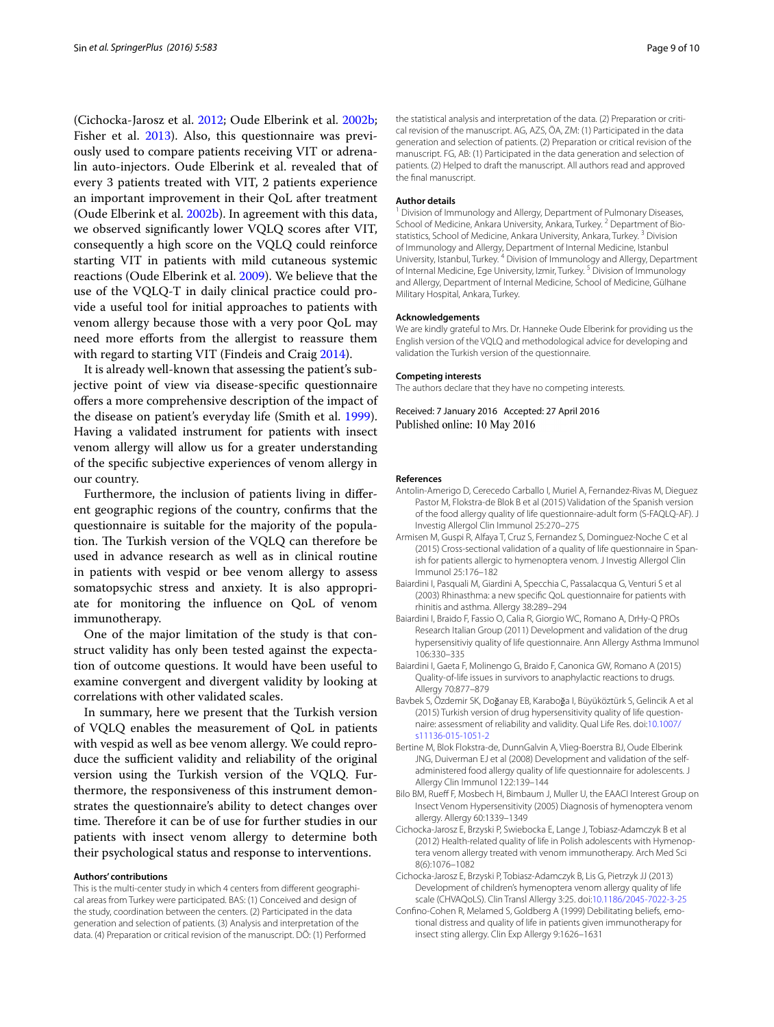(Cichocka-Jarosz et al. [2012;](#page-8-8) Oude Elberink et al. [2002b](#page-9-12); Fisher et al. [2013](#page-9-13)). Also, this questionnaire was previously used to compare patients receiving VIT or adrenalin auto-injectors. Oude Elberink et al. revealed that of every 3 patients treated with VIT, 2 patients experience an important improvement in their QoL after treatment (Oude Elberink et al. [2002b](#page-9-12)). In agreement with this data, we observed significantly lower VQLQ scores after VIT, consequently a high score on the VQLQ could reinforce starting VIT in patients with mild cutaneous systemic reactions (Oude Elberink et al. [2009\)](#page-9-14). We believe that the use of the VQLQ-T in daily clinical practice could provide a useful tool for initial approaches to patients with venom allergy because those with a very poor QoL may need more efforts from the allergist to reassure them with regard to starting VIT (Findeis and Craig [2014\)](#page-9-15).

It is already well-known that assessing the patient's subjective point of view via disease-specific questionnaire offers a more comprehensive description of the impact of the disease on patient's everyday life (Smith et al. [1999](#page-9-16)). Having a validated instrument for patients with insect venom allergy will allow us for a greater understanding of the specific subjective experiences of venom allergy in our country.

Furthermore, the inclusion of patients living in different geographic regions of the country, confirms that the questionnaire is suitable for the majority of the population. The Turkish version of the VQLQ can therefore be used in advance research as well as in clinical routine in patients with vespid or bee venom allergy to assess somatopsychic stress and anxiety. It is also appropriate for monitoring the influence on QoL of venom immunotherapy.

One of the major limitation of the study is that construct validity has only been tested against the expectation of outcome questions. It would have been useful to examine convergent and divergent validity by looking at correlations with other validated scales.

In summary, here we present that the Turkish version of VQLQ enables the measurement of QoL in patients with vespid as well as bee venom allergy. We could reproduce the sufficient validity and reliability of the original version using the Turkish version of the VQLQ. Furthermore, the responsiveness of this instrument demonstrates the questionnaire's ability to detect changes over time. Therefore it can be of use for further studies in our patients with insect venom allergy to determine both their psychological status and response to interventions.

#### **Authors' contributions**

This is the multi-center study in which 4 centers from different geographical areas from Turkey were participated. BAS: (1) Conceived and design of the study, coordination between the centers. (2) Participated in the data generation and selection of patients. (3) Analysis and interpretation of the data. (4) Preparation or critical revision of the manuscript. DÖ: (1) Performed the statistical analysis and interpretation of the data. (2) Preparation or critical revision of the manuscript. AG, AZS, ÖA, ZM: (1) Participated in the data generation and selection of patients. (2) Preparation or critical revision of the manuscript. FG, AB: (1) Participated in the data generation and selection of patients. (2) Helped to draft the manuscript. All authors read and approved the final manuscript.

#### **Author details**

<sup>1</sup> Division of Immunology and Allergy, Department of Pulmonary Diseases, School of Medicine, Ankara University, Ankara, Turkey. <sup>2</sup> Department of Biostatistics, School of Medicine, Ankara University, Ankara, Turkey.<sup>3</sup> Division of Immunology and Allergy, Department of Internal Medicine, Istanbul University, Istanbul, Turkey. 4 Division of Immunology and Allergy, Department of Internal Medicine, Ege University, Izmir, Turkey. 5 Division of Immunology and Allergy, Department of Internal Medicine, School of Medicine, Gülhane Military Hospital, Ankara, Turkey.

#### **Acknowledgements**

We are kindly grateful to Mrs. Dr. Hanneke Oude Elberink for providing us the English version of the VQLQ and methodological advice for developing and validation the Turkish version of the questionnaire.

#### **Competing interests**

The authors declare that they have no competing interests.

Received: 7 January 2016 Accepted: 27 April 2016 Published online: 10 May 2016

#### **References**

- <span id="page-8-1"></span>Antolin-Amerigo D, Cerecedo Carballo I, Muriel A, Fernandez-Rivas M, Dieguez Pastor M, Flokstra-de Blok B et al (2015) Validation of the Spanish version of the food allergy quality of life questionnaire-adult form (S-FAQLQ-AF). J Investig Allergol Clin Immunol 25:270–275
- <span id="page-8-9"></span>Armisen M, Guspi R, Alfaya T, Cruz S, Fernandez S, Dominguez-Noche C et al (2015) Cross-sectional validation of a quality of life questionnaire in Spanish for patients allergic to hymenoptera venom. J Investig Allergol Clin Immunol 25:176–182
- <span id="page-8-0"></span>Baiardini I, Pasquali M, Giardini A, Specchia C, Passalacqua G, Venturi S et al (2003) Rhinasthma: a new specific QoL questionnaire for patients with rhinitis and asthma. Allergy 38:289–294
- <span id="page-8-6"></span>Baiardini I, Braido F, Fassio O, Calia R, Giorgio WC, Romano A, DrHy-Q PROs Research Italian Group (2011) Development and validation of the drug hypersensitiviy quality of life questionnaire. Ann Allergy Asthma Immunol 106:330–335
- <span id="page-8-2"></span>Baiardini I, Gaeta F, Molinengo G, Braido F, Canonica GW, Romano A (2015) Quality-of-life issues in survivors to anaphylactic reactions to drugs. Allergy 70:877–879
- <span id="page-8-7"></span>Bavbek S, Özdemir SK, Doğanay EB, Karaboğa I, Büyüköztürk S, Gelincik A et al (2015) Turkish version of drug hypersensitivity quality of life questionnaire: assessment of reliability and validity. Qual Life Res. doi[:10.1007/](http://dx.doi.org/10.1007/s11136-015-1051-2) [s11136-015-1051-2](http://dx.doi.org/10.1007/s11136-015-1051-2)
- <span id="page-8-5"></span>Bertine M, Blok Flokstra-de, DunnGalvin A, Vlieg-Boerstra BJ, Oude Elberink JNG, Duiverman EJ et al (2008) Development and validation of the selfadministered food allergy quality of life questionnaire for adolescents. J Allergy Clin Immunol 122:139–144
- <span id="page-8-4"></span>Bilo BM, Rueff F, Mosbech H, Bimbaum J, Muller U, the EAACI Interest Group on Insect Venom Hypersensitivity (2005) Diagnosis of hymenoptera venom allergy. Allergy 60:1339–1349
- <span id="page-8-8"></span>Cichocka-Jarosz E, Brzyski P, Swiebocka E, Lange J, Tobiasz-Adamczyk B et al (2012) Health-related quality of life in Polish adolescents with Hymenoptera venom allergy treated with venom immunotherapy. Arch Med Sci 8(6):1076–1082
- <span id="page-8-10"></span>Cichocka-Jarosz E, Brzyski P, Tobiasz-Adamczyk B, Lis G, Pietrzyk JJ (2013) Development of children's hymenoptera venom allergy quality of life scale (CHVAQoLS). Clin Transl Allergy 3:25. doi:[10.1186/2045-7022-3-25](http://dx.doi.org/10.1186/2045-7022-3-25)
- <span id="page-8-3"></span>Confino-Cohen R, Melamed S, Goldberg A (1999) Debilitating beliefs, emotional distress and quality of life in patients given immunotherapy for insect sting allergy. Clin Exp Allergy 9:1626–1631